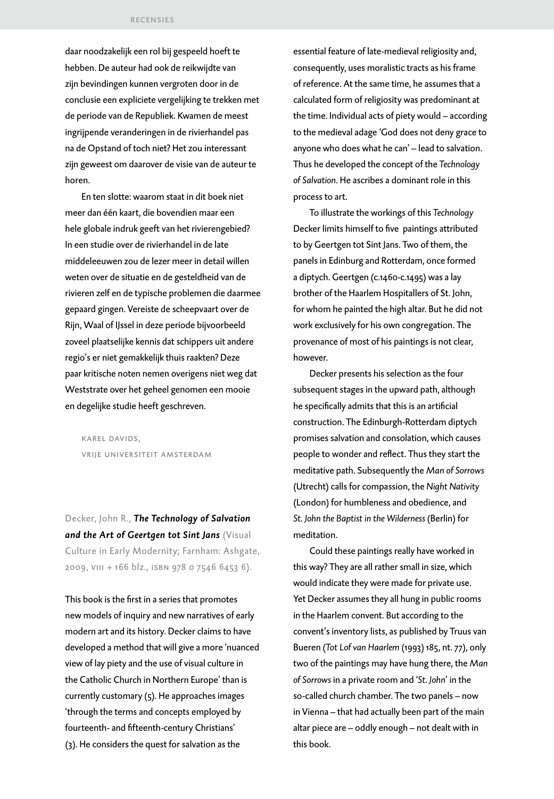daar noodzakelijk een rol bij gespeeld hoeft te hebben. De auteur had ook de reikwijdte van zijn bevindingen kunnen vergroten door in de conclusie een expliciete vergelijking te trekken met de periode van de Republiek. Kwamen de meest ingrijpende veranderingen in de rivierhandel pas na de Opstand of toch niet? Het zou interessant zijn geweest om daarover de visie van de auteur te horen.

En ten slotte: waarom staat in dit boek niet meer dan één kaart, die bovendien maar een hele globale indruk geeft van het rivierengebied? In een studie over de rivierhandel in de late middeleeuwen zou de lezer meer in detail willen weten over de situatie en de gesteldheid van de rivieren zelf en de typische problemen die daarmee gepaard gingen. Vereiste de scheepvaart over de Rijn, Waal of IJssel in deze periode bijvoorbeeld zoveel plaatselijke kennis dat schippers uit andere regio's er niet gemakkelijk thuis raakten? Deze paar kritische noten nemen overigens niet weg dat Weststrate over het geheel genomen een mooie en degelijke studie heeft geschreven.

karel davids, vrije universiteit amsterdam

Decker, John R., *The Technology of Salvation and the Art of Geertgen tot Sint Jans* (Visual Culture in Early Modernity; Farnham: Ashgate, 2009, viii + 166 blz., isbn 978 0 7546 6453 6).

This book is the first in a series that promotes new models of inquiry and new narratives of early modern art and its history. Decker claims to have developed a method that will give a more 'nuanced view of lay piety and the use of visual culture in the Catholic Church in Northern Europe' than is currently customary (5). He approaches images 'through the terms and concepts employed by fourteenth- and fifteenth-century Christians' (3). He considers the quest for salvation as the

essential feature of late-medieval religiosity and, consequently, uses moralistic tracts as his frame of reference. At the same time, he assumes that a calculated form of religiosity was predominant at the time. Individual acts of piety would – according to the medieval adage *'*God does not deny grace to anyone who does what he can' – lead to salvation. Thus he developed the concept of the *Technology of Salvation*. He ascribes a dominant role in this process to art.

To illustrate the workings of this *Technology* Decker limits himself to five paintings attributed to by Geertgen tot Sint Jans. Two of them, the panels in Edinburg and Rotterdam, once formed a diptych. Geertgen (c.1460-c.1495) was a lay brother of the Haarlem Hospitallers of St. John, for whom he painted the high altar. But he did not work exclusively for his own congregation. The provenance of most of his paintings is not clear, however.

Decker presents his selection as the four subsequent stages in the upward path, although he specifically admits that this is an artificial construction. The Edinburgh-Rotterdam diptych promises salvation and consolation, which causes people to wonder and reflect. Thus they start the meditative path. Subsequently the *Man of Sorrows* (Utrecht) calls for compassion, the *Night Nativity* (London) for humbleness and obedience, and *St. John the Baptist in the Wilderness* (Berlin) for meditation.

Could these paintings really have worked in this way? They are all rather small in size, which would indicate they were made for private use. Yet Decker assumes they all hung in public rooms in the Haarlem convent. But according to the convent's inventory lists, as published by Truus van Bueren (*Tot Lof van Haarlem* (1993) 185, nt. 77), only two of the paintings may have hung there, the *Man of Sorrows* in a private room and '*St. John*' in the so-called church chamber. The two panels – now in Vienna – that had actually been part of the main altar piece are – oddly enough – not dealt with in this book.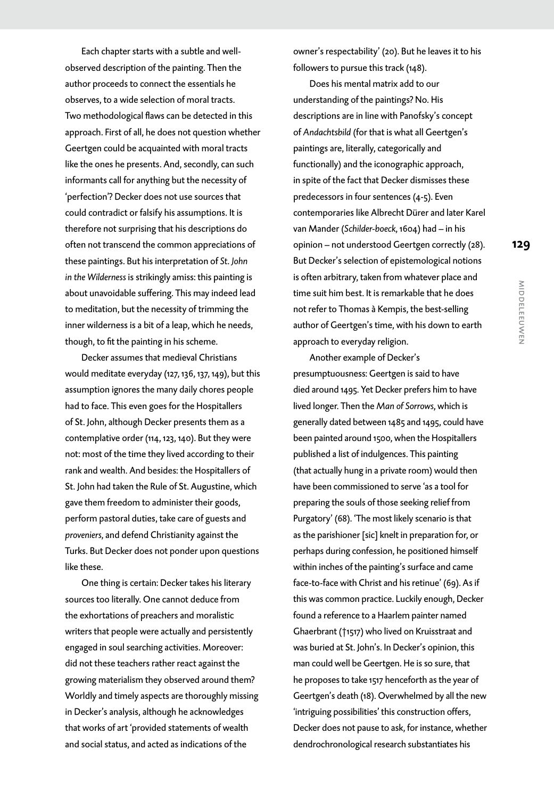Each chapter starts with a subtle and wellobserved description of the painting. Then the author proceeds to connect the essentials he observes, to a wide selection of moral tracts. Two methodological flaws can be detected in this approach. First of all, he does not question whether Geertgen could be acquainted with moral tracts like the ones he presents. And, secondly, can such informants call for anything but the necessity of 'perfection'? Decker does not use sources that could contradict or falsify his assumptions. It is therefore not surprising that his descriptions do often not transcend the common appreciations of these paintings. But his interpretation of *St. John in the Wilderness* is strikingly amiss: this painting is about unavoidable suffering. This may indeed lead to meditation, but the necessity of trimming the inner wilderness is a bit of a leap, which he needs, though, to fit the painting in his scheme.

Decker assumes that medieval Christians would meditate everyday (127, 136, 137, 149), but this assumption ignores the many daily chores people had to face. This even goes for the Hospitallers of St. John, although Decker presents them as a contemplative order (114, 123, 140). But they were not: most of the time they lived according to their rank and wealth. And besides: the Hospitallers of St. John had taken the Rule of St. Augustine, which gave them freedom to administer their goods, perform pastoral duties, take care of guests and *proveniers*, and defend Christianity against the Turks. But Decker does not ponder upon questions like these.

One thing is certain: Decker takes his literary sources too literally. One cannot deduce from the exhortations of preachers and moralistic writers that people were actually and persistently engaged in soul searching activities. Moreover: did not these teachers rather react against the growing materialism they observed around them? Worldly and timely aspects are thoroughly missing in Decker's analysis, although he acknowledges that works of art 'provided statements of wealth and social status, and acted as indications of the

owner's respectability' (20). But he leaves it to his followers to pursue this track (148).

Does his mental matrix add to our understanding of the paintings? No. His descriptions are in line with Panofsky's concept of *Andachtsbild* (for that is what all Geertgen's paintings are, literally, categorically and functionally) and the iconographic approach, in spite of the fact that Decker dismisses these predecessors in four sentences (4-5). Even contemporaries like Albrecht Dürer and later Karel van Mander (*Schilder-boeck*, 1604) had – in his opinion – not understood Geertgen correctly (28). But Decker's selection of epistemological notions is often arbitrary, taken from whatever place and time suit him best. It is remarkable that he does not refer to Thomas à Kempis, the best-selling author of Geertgen's time, with his down to earth approach to everyday religion.

Another example of Decker's presumptuousness: Geertgen is said to have died around 1495. Yet Decker prefers him to have lived longer. Then the *Man of Sorrows*, which is generally dated between 1485 and 1495, could have been painted around 1500, when the Hospitallers published a list of indulgences. This painting (that actually hung in a private room) would then have been commissioned to serve 'as a tool for preparing the souls of those seeking relief from Purgatory' (68). 'The most likely scenario is that as the parishioner [sic] knelt in preparation for, or perhaps during confession, he positioned himself within inches of the painting's surface and came face-to-face with Christ and his retinue' (69). As if this was common practice. Luckily enough, Decker found a reference to a Haarlem painter named Ghaerbrant (†1517) who lived on Kruisstraat and was buried at St. John's. In Decker's opinion, this man could well be Geertgen. He is so sure, that he proposes to take 1517 henceforth as the year of Geertgen's death (18). Overwhelmed by all the new 'intriguing possibilities' this construction offers, Decker does not pause to ask, for instance, whether dendrochronological research substantiates his